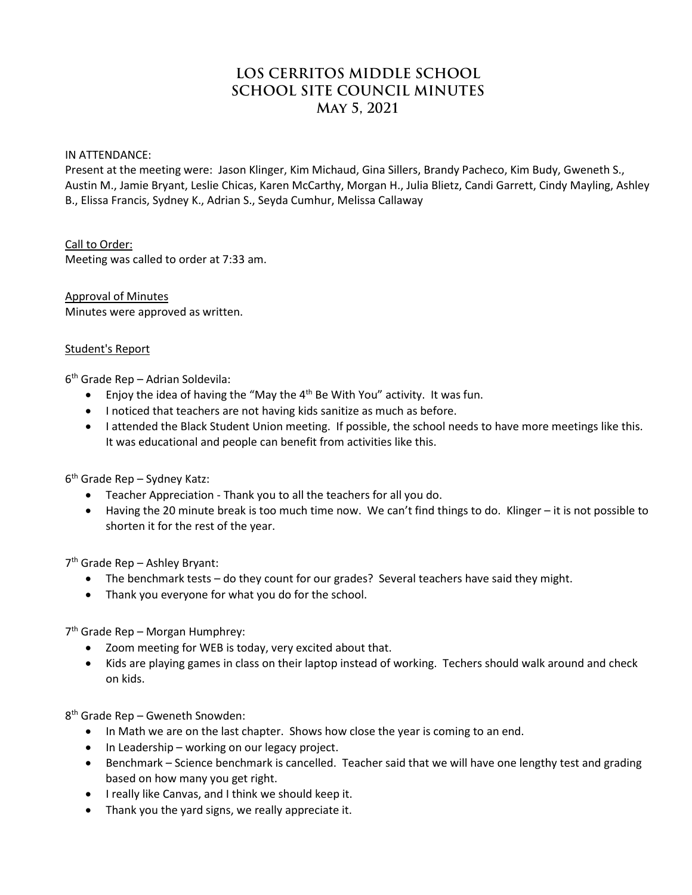# **LOS CERRITOS MIDDLE SCHOOL SCHOOL SITE COUNCIL MINUTES May 5, 2021**

#### IN ATTENDANCE:

Present at the meeting were: Jason Klinger, Kim Michaud, Gina Sillers, Brandy Pacheco, Kim Budy, Gweneth S., Austin M., Jamie Bryant, Leslie Chicas, Karen McCarthy, Morgan H., Julia Blietz, Candi Garrett, Cindy Mayling, Ashley B., Elissa Francis, Sydney K., Adrian S., Seyda Cumhur, Melissa Callaway

Call to Order: Meeting was called to order at 7:33 am.

Approval of Minutes Minutes were approved as written.

#### Student's Report

6th Grade Rep – Adrian Soldevila:

- Enjoy the idea of having the "May the 4<sup>th</sup> Be With You" activity. It was fun.
- I noticed that teachers are not having kids sanitize as much as before.
- I attended the Black Student Union meeting. If possible, the school needs to have more meetings like this. It was educational and people can benefit from activities like this.

 $6<sup>th</sup>$  Grade Rep – Sydney Katz:

- Teacher Appreciation Thank you to all the teachers for all you do.
- Having the 20 minute break is too much time now. We can't find things to do. Klinger it is not possible to shorten it for the rest of the year.

7th Grade Rep – Ashley Bryant:

- The benchmark tests do they count for our grades? Several teachers have said they might.
- Thank you everyone for what you do for the school.

7th Grade Rep – Morgan Humphrey:

- Zoom meeting for WEB is today, very excited about that.
- Kids are playing games in class on their laptop instead of working. Techers should walk around and check on kids.

8th Grade Rep – Gweneth Snowden:

- In Math we are on the last chapter. Shows how close the year is coming to an end.
- In Leadership working on our legacy project.
- Benchmark Science benchmark is cancelled. Teacher said that we will have one lengthy test and grading based on how many you get right.
- I really like Canvas, and I think we should keep it.
- Thank you the yard signs, we really appreciate it.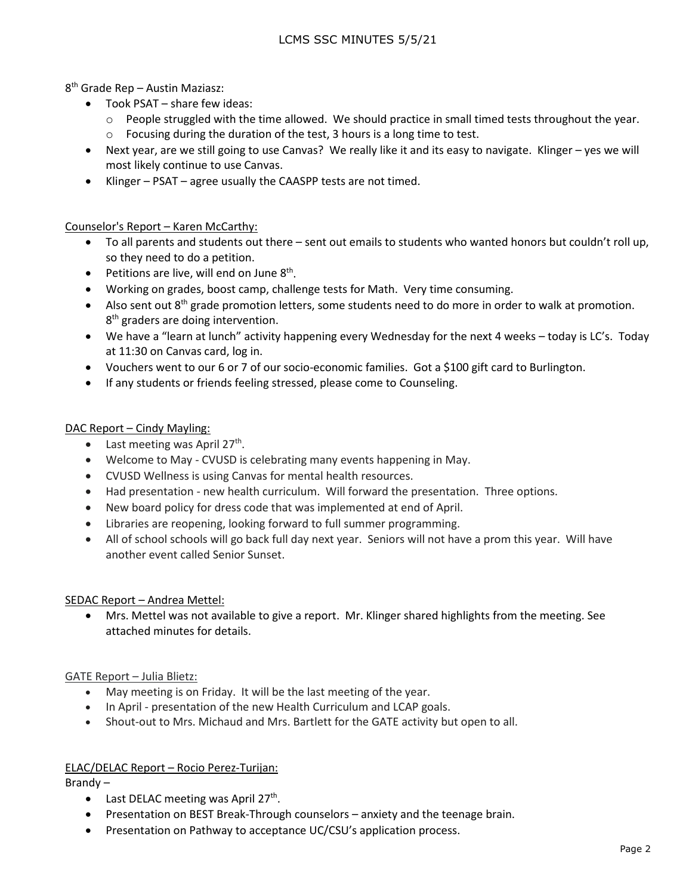8th Grade Rep – Austin Maziasz:

- Took PSAT share few ideas:
	- $\circ$  People struggled with the time allowed. We should practice in small timed tests throughout the year.
	- o Focusing during the duration of the test, 3 hours is a long time to test.
- Next year, are we still going to use Canvas? We really like it and its easy to navigate. Klinger yes we will most likely continue to use Canvas.
- Klinger PSAT agree usually the CAASPP tests are not timed.

## Counselor's Report – Karen McCarthy:

- To all parents and students out there sent out emails to students who wanted honors but couldn't roll up, so they need to do a petition.
- Petitions are live, will end on June  $8<sup>th</sup>$ .
- Working on grades, boost camp, challenge tests for Math. Very time consuming.
- Also sent out 8<sup>th</sup> grade promotion letters, some students need to do more in order to walk at promotion. 8<sup>th</sup> graders are doing intervention.
- We have a "learn at lunch" activity happening every Wednesday for the next 4 weeks today is LC's. Today at 11:30 on Canvas card, log in.
- Vouchers went to our 6 or 7 of our socio-economic families. Got a \$100 gift card to Burlington.
- If any students or friends feeling stressed, please come to Counseling.

## DAC Report – Cindy Mayling:

- Last meeting was April 27<sup>th</sup>.
- Welcome to May CVUSD is celebrating many events happening in May.
- CVUSD Wellness is using Canvas for mental health resources.
- Had presentation new health curriculum. Will forward the presentation. Three options.
- New board policy for dress code that was implemented at end of April.
- Libraries are reopening, looking forward to full summer programming.
- All of school schools will go back full day next year. Seniors will not have a prom this year. Will have another event called Senior Sunset.

## SEDAC Report – Andrea Mettel:

• Mrs. Mettel was not available to give a report. Mr. Klinger shared highlights from the meeting. See attached minutes for details.

## GATE Report – Julia Blietz:

- May meeting is on Friday. It will be the last meeting of the year.
- In April presentation of the new Health Curriculum and LCAP goals.
- Shout-out to Mrs. Michaud and Mrs. Bartlett for the GATE activity but open to all.

## ELAC/DELAC Report – Rocio Perez-Turijan:

Brandy –

- Last DELAC meeting was April  $27<sup>th</sup>$ .
- Presentation on BEST Break-Through counselors anxiety and the teenage brain.
- Presentation on Pathway to acceptance UC/CSU's application process.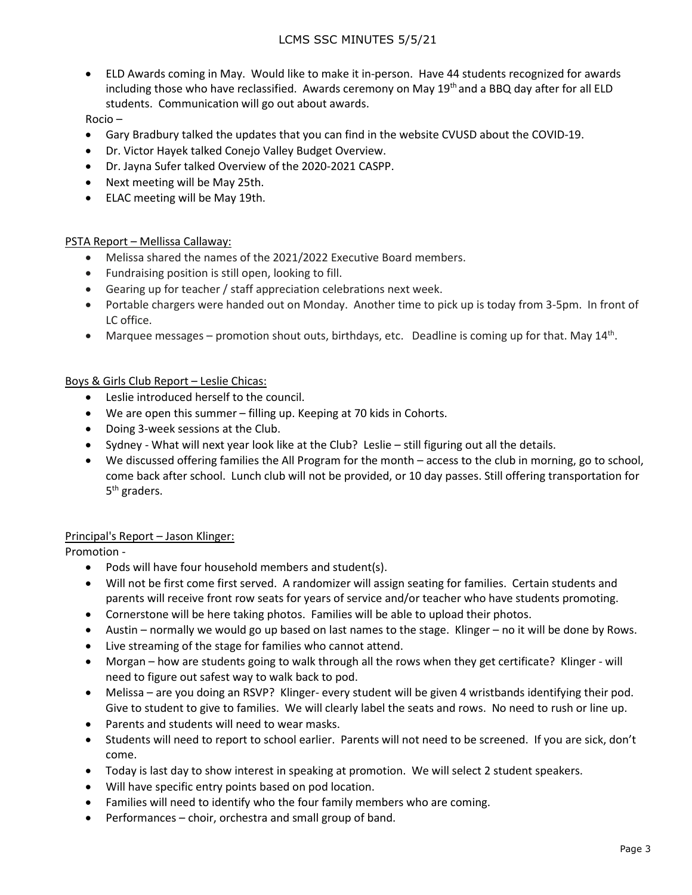• ELD Awards coming in May. Would like to make it in-person. Have 44 students recognized for awards including those who have reclassified. Awards ceremony on May 19<sup>th</sup> and a BBQ day after for all ELD students. Communication will go out about awards.

Rocio –

- Gary Bradbury talked the updates that you can find in the website CVUSD about the COVID-19.
- Dr. Victor Hayek talked Conejo Valley Budget Overview.
- Dr. Jayna Sufer talked Overview of the 2020-2021 CASPP.
- Next meeting will be May 25th.
- ELAC meeting will be May 19th.

## PSTA Report – Mellissa Callaway:

- Melissa shared the names of the 2021/2022 Executive Board members.
- Fundraising position is still open, looking to fill.
- Gearing up for teacher / staff appreciation celebrations next week.
- Portable chargers were handed out on Monday. Another time to pick up is today from 3-5pm. In front of LC office.
- Marquee messages promotion shout outs, birthdays, etc. Deadline is coming up for that. May 14<sup>th</sup>.

## Boys & Girls Club Report – Leslie Chicas:

- Leslie introduced herself to the council.
- We are open this summer filling up. Keeping at 70 kids in Cohorts.
- Doing 3-week sessions at the Club.
- Sydney What will next year look like at the Club? Leslie still figuring out all the details.
- We discussed offering families the All Program for the month access to the club in morning, go to school, come back after school. Lunch club will not be provided, or 10 day passes. Still offering transportation for 5<sup>th</sup> graders.

## Principal's Report – Jason Klinger:

Promotion -

- Pods will have four household members and student(s).
- Will not be first come first served. A randomizer will assign seating for families. Certain students and parents will receive front row seats for years of service and/or teacher who have students promoting.
- Cornerstone will be here taking photos. Families will be able to upload their photos.
- Austin normally we would go up based on last names to the stage. Klinger no it will be done by Rows.
- Live streaming of the stage for families who cannot attend.
- Morgan how are students going to walk through all the rows when they get certificate? Klinger will need to figure out safest way to walk back to pod.
- Melissa are you doing an RSVP? Klinger- every student will be given 4 wristbands identifying their pod. Give to student to give to families. We will clearly label the seats and rows. No need to rush or line up.
- Parents and students will need to wear masks.
- Students will need to report to school earlier. Parents will not need to be screened. If you are sick, don't come.
- Today is last day to show interest in speaking at promotion. We will select 2 student speakers.
- Will have specific entry points based on pod location.
- Families will need to identify who the four family members who are coming.
- Performances choir, orchestra and small group of band.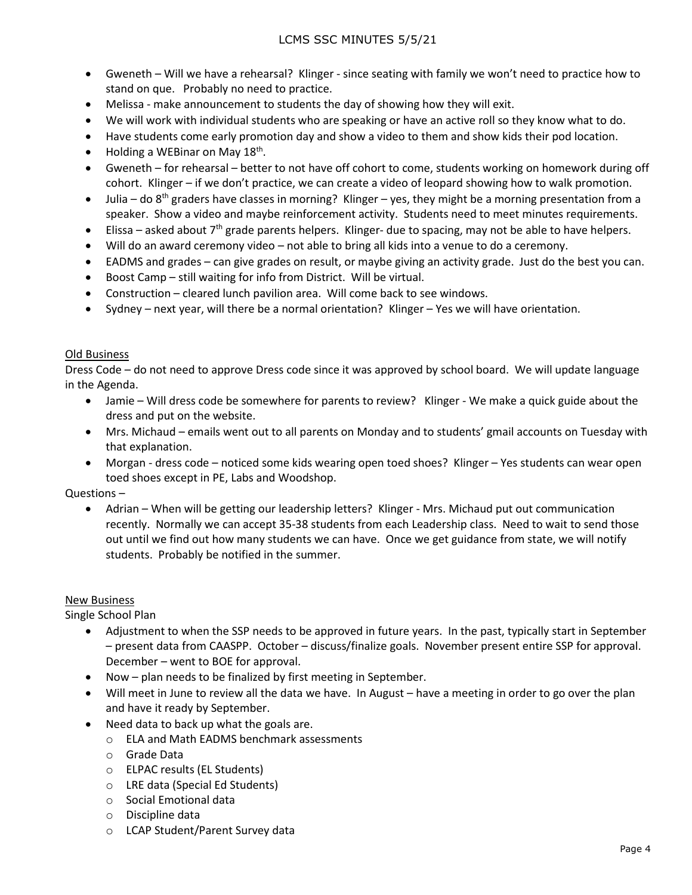- Gweneth Will we have a rehearsal? Klinger since seating with family we won't need to practice how to stand on que. Probably no need to practice.
- Melissa make announcement to students the day of showing how they will exit.
- We will work with individual students who are speaking or have an active roll so they know what to do.
- Have students come early promotion day and show a video to them and show kids their pod location.
- Holding a WEBinar on May  $18<sup>th</sup>$ .
- Gweneth for rehearsal better to not have off cohort to come, students working on homework during off cohort. Klinger – if we don't practice, we can create a video of leopard showing how to walk promotion.
- Julia do  $8<sup>th</sup>$  graders have classes in morning? Klinger yes, they might be a morning presentation from a speaker. Show a video and maybe reinforcement activity. Students need to meet minutes requirements.
- Elissa asked about  $7<sup>th</sup>$  grade parents helpers. Klinger- due to spacing, may not be able to have helpers.
- Will do an award ceremony video not able to bring all kids into a venue to do a ceremony.
- EADMS and grades can give grades on result, or maybe giving an activity grade. Just do the best you can.
- Boost Camp still waiting for info from District. Will be virtual.
- Construction cleared lunch pavilion area. Will come back to see windows.
- Sydney next year, will there be a normal orientation? Klinger Yes we will have orientation.

#### Old Business

Dress Code – do not need to approve Dress code since it was approved by school board. We will update language in the Agenda.

- Jamie Will dress code be somewhere for parents to review? Klinger We make a quick guide about the dress and put on the website.
- Mrs. Michaud emails went out to all parents on Monday and to students' gmail accounts on Tuesday with that explanation.
- Morgan dress code noticed some kids wearing open toed shoes? Klinger Yes students can wear open toed shoes except in PE, Labs and Woodshop.

#### Questions –

• Adrian – When will be getting our leadership letters? Klinger - Mrs. Michaud put out communication recently. Normally we can accept 35-38 students from each Leadership class. Need to wait to send those out until we find out how many students we can have. Once we get guidance from state, we will notify students. Probably be notified in the summer.

#### New Business

Single School Plan

- Adjustment to when the SSP needs to be approved in future years. In the past, typically start in September – present data from CAASPP. October – discuss/finalize goals. November present entire SSP for approval. December – went to BOE for approval.
- Now plan needs to be finalized by first meeting in September.
- Will meet in June to review all the data we have. In August have a meeting in order to go over the plan and have it ready by September.
- Need data to back up what the goals are.
	- o ELA and Math EADMS benchmark assessments
	- o Grade Data
	- o ELPAC results (EL Students)
	- o LRE data (Special Ed Students)
	- o Social Emotional data
	- o Discipline data
	- o LCAP Student/Parent Survey data